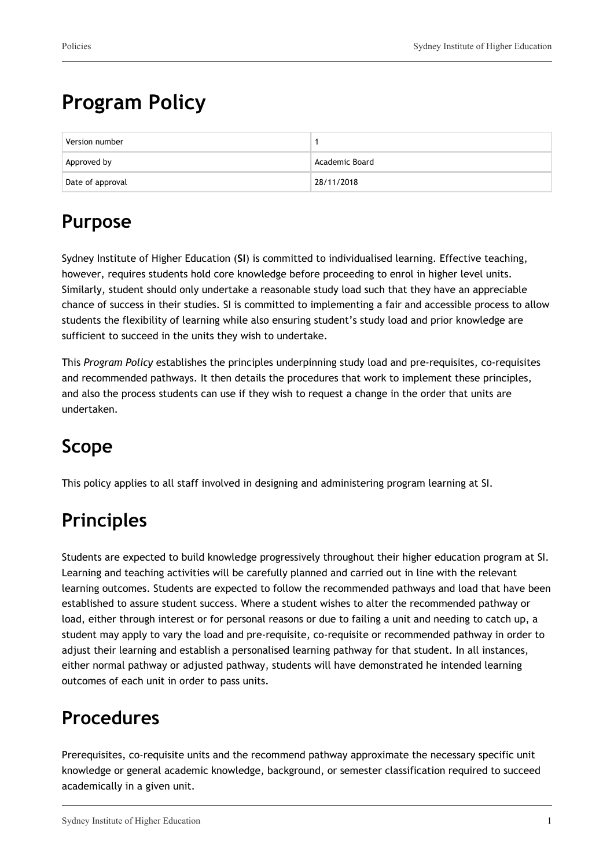# **Program Policy**

| Version number   |                |
|------------------|----------------|
| Approved by      | Academic Board |
| Date of approval | 28/11/2018     |

# **Purpose**

Sydney Institute of Higher Education (**SI**) is committed to individualised learning. Effective teaching, however, requires students hold core knowledge before proceeding to enrol in higher level units. Similarly, student should only undertake a reasonable study load such that they have an appreciable chance of success in their studies. SI is committed to implementing a fair and accessible process to allow students the flexibility of learning while also ensuring student's study load and prior knowledge are sufficient to succeed in the units they wish to undertake.

This *Program Policy* establishes the principles underpinning study load and pre-requisites, co-requisites and recommended pathways. It then details the procedures that work to implement these principles, and also the process students can use if they wish to request a change in the order that units are undertaken.

# **Scope**

This policy applies to all staff involved in designing and administering program learning at SI.

# **Principles**

Students are expected to build knowledge progressively throughout their higher education program at SI. Learning and teaching activities will be carefully planned and carried out in line with the relevant learning outcomes. Students are expected to follow the recommended pathways and load that have been established to assure student success. Where a student wishes to alter the recommended pathway or load, either through interest or for personal reasons or due to failing a unit and needing to catch up, a student may apply to vary the load and pre-requisite, co-requisite or recommended pathway in order to adjust their learning and establish a personalised learning pathway for that student. In all instances, either normal pathway or adjusted pathway, students will have demonstrated he intended learning outcomes of each unit in order to pass units.

### **Procedures**

Prerequisites, co-requisite units and the recommend pathway approximate the necessary specific unit knowledge or general academic knowledge, background, or semester classification required to succeed academically in a given unit.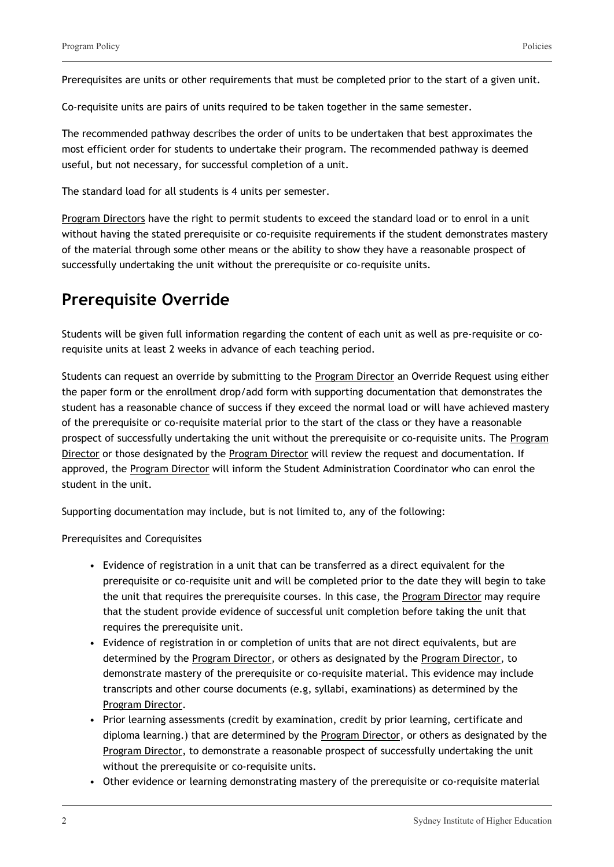Prerequisites are units or other requirements that must be completed prior to the start of a given unit.

Co-requisite units are pairs of units required to be taken together in the same semester.

The recommended pathway describes the order of units to be undertaken that best approximates the most efficient order for students to undertake their program. The recommended pathway is deemed useful, but not necessary, for successful completion of a unit.

The standard load for all students is 4 units per semester.

Program Directors have the right to permit students to exceed the standard load or to enrol in a unit without having the stated prerequisite or co-requisite requirements if the student demonstrates mastery of the material through some other means or the ability to show they have a reasonable prospect of successfully undertaking the unit without the prerequisite or co-requisite units.

#### **Prerequisite Override**

Students will be given full information regarding the content of each unit as well as pre-requisite or corequisite units at least 2 weeks in advance of each teaching period.

Students can request an override by submitting to the Program Director an Override Request using either the paper form or the enrollment drop/add form with supporting documentation that demonstrates the student has a reasonable chance of success if they exceed the normal load or will have achieved mastery of the prerequisite or co-requisite material prior to the start of the class or they have a reasonable prospect of successfully undertaking the unit without the prerequisite or co-requisite units. The Program Director or those designated by the Program Director will review the request and documentation. If approved, the Program Director will inform the Student Administration Coordinator who can enrol the student in the unit.

Supporting documentation may include, but is not limited to, any of the following:

Prerequisites and Corequisites

- Evidence of registration in a unit that can be transferred as a direct equivalent for the prerequisite or co-requisite unit and will be completed prior to the date they will begin to take the unit that requires the prerequisite courses. In this case, the Program Director may require that the student provide evidence of successful unit completion before taking the unit that requires the prerequisite unit.
- Evidence of registration in or completion of units that are not direct equivalents, but are determined by the Program Director, or others as designated by the Program Director, to demonstrate mastery of the prerequisite or co-requisite material. This evidence may include transcripts and other course documents (e.g, syllabi, examinations) as determined by the Program Director.
- Prior learning assessments (credit by examination, credit by prior learning, certificate and diploma learning.) that are determined by the Program Director, or others as designated by the Program Director, to demonstrate a reasonable prospect of successfully undertaking the unit without the prerequisite or co-requisite units.
- Other evidence or learning demonstrating mastery of the prerequisite or co-requisite material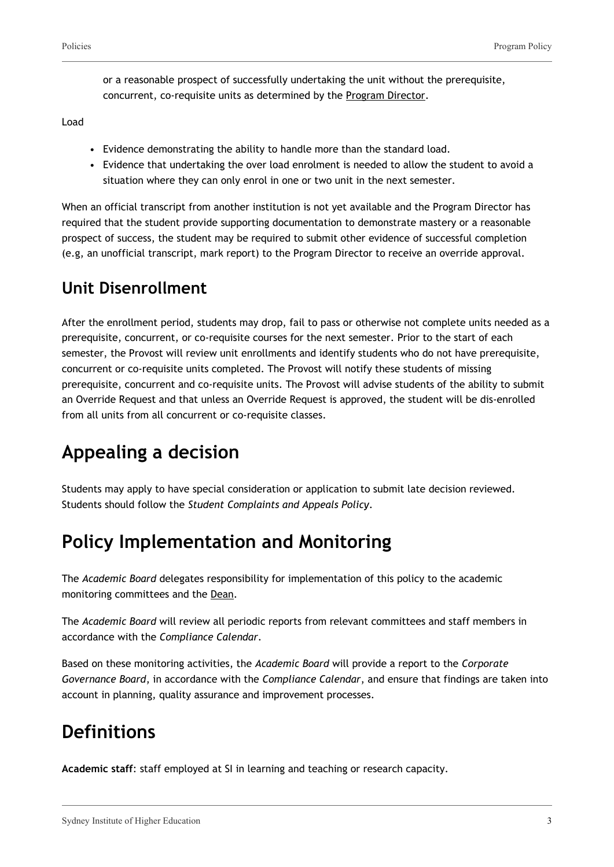or a reasonable prospect of successfully undertaking the unit without the prerequisite, concurrent, co-requisite units as determined by the Program Director.

Load

- Evidence demonstrating the ability to handle more than the standard load.
- Evidence that undertaking the over load enrolment is needed to allow the student to avoid a situation where they can only enrol in one or two unit in the next semester.

When an official transcript from another institution is not yet available and the Program Director has required that the student provide supporting documentation to demonstrate mastery or a reasonable prospect of success, the student may be required to submit other evidence of successful completion (e.g, an unofficial transcript, mark report) to the Program Director to receive an override approval.

#### **Unit Disenrollment**

After the enrollment period, students may drop, fail to pass or otherwise not complete units needed as a prerequisite, concurrent, or co-requisite courses for the next semester. Prior to the start of each semester, the Provost will review unit enrollments and identify students who do not have prerequisite, concurrent or co-requisite units completed. The Provost will notify these students of missing prerequisite, concurrent and co-requisite units. The Provost will advise students of the ability to submit an Override Request and that unless an Override Request is approved, the student will be dis-enrolled from all units from all concurrent or co-requisite classes.

# **Appealing a decision**

Students may apply to have special consideration or application to submit late decision reviewed. Students should follow the *Student Complaints and Appeals Policy*.

## **Policy Implementation and Monitoring**

The *Academic Board* delegates responsibility for implementation of this policy to the academic monitoring committees and the Dean.

The *Academic Board* will review all periodic reports from relevant committees and staff members in accordance with the *Compliance Calendar*.

Based on these monitoring activities, the *Academic Board* will provide a report to the *Corporate Governance Board*, in accordance with the *Compliance Calendar*, and ensure that findings are taken into account in planning, quality assurance and improvement processes.

## **Definitions**

**Academic staff**: staff employed at SI in learning and teaching or research capacity.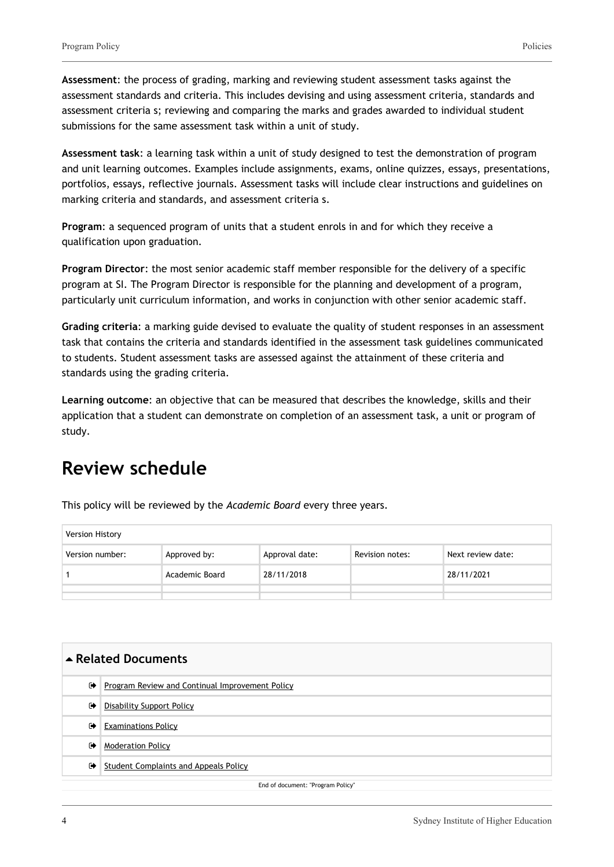**Assessment**: the process of grading, marking and reviewing student assessment tasks against the assessment standards and criteria. This includes devising and using assessment criteria, standards and assessment criteria s; reviewing and comparing the marks and grades awarded to individual student submissions for the same assessment task within a unit of study.

**Assessment task**: a learning task within a unit of study designed to test the demonstration of program and unit learning outcomes. Examples include assignments, exams, online quizzes, essays, presentations, portfolios, essays, reflective journals. Assessment tasks will include clear instructions and guidelines on marking criteria and standards, and assessment criteria s.

**Program**: a sequenced program of units that a student enrols in and for which they receive a qualification upon graduation.

**Program Director**: the most senior academic staff member responsible for the delivery of a specific program at SI. The Program Director is responsible for the planning and development of a program, particularly unit curriculum information, and works in conjunction with other senior academic staff.

**Grading criteria**: a marking guide devised to evaluate the quality of student responses in an assessment task that contains the criteria and standards identified in the assessment task guidelines communicated to students. Student assessment tasks are assessed against the attainment of these criteria and standards using the grading criteria.

**Learning outcome**: an objective that can be measured that describes the knowledge, skills and their application that a student can demonstrate on completion of an assessment task, a unit or program of study.

#### **Review schedule**

This policy will be reviewed by the *Academic Board* every three years.

| <b>Version History</b> |                |                |                 |                   |
|------------------------|----------------|----------------|-----------------|-------------------|
| Version number:        | Approved by:   | Approval date: | Revision notes: | Next review date: |
|                        | Academic Board | 28/11/2018     |                 | 28/11/2021        |
|                        |                |                |                 |                   |
|                        |                |                |                 |                   |

| ▲ Related Documents               |                                                 |  |
|-----------------------------------|-------------------------------------------------|--|
| $\ddot{\phantom{1}}$              | Program Review and Continual Improvement Policy |  |
| $\bullet$                         | <b>Disability Support Policy</b>                |  |
| $\bullet$                         | <b>Examinations Policy</b>                      |  |
| ☞                                 | <b>Moderation Policy</b>                        |  |
| $\bullet$                         | Student Complaints and Appeals Policy           |  |
| End of document: "Program Policy" |                                                 |  |